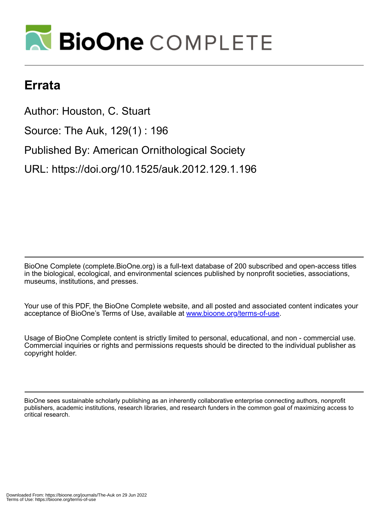

## **Errata**

Author: Houston, C. Stuart Source: The Auk, 129(1) : 196 Published By: American Ornithological Society URL: https://doi.org/10.1525/auk.2012.129.1.196

BioOne Complete (complete.BioOne.org) is a full-text database of 200 subscribed and open-access titles in the biological, ecological, and environmental sciences published by nonprofit societies, associations, museums, institutions, and presses.

Your use of this PDF, the BioOne Complete website, and all posted and associated content indicates your acceptance of BioOne's Terms of Use, available at www.bioone.org/terms-of-use.

Usage of BioOne Complete content is strictly limited to personal, educational, and non - commercial use. Commercial inquiries or rights and permissions requests should be directed to the individual publisher as copyright holder.

BioOne sees sustainable scholarly publishing as an inherently collaborative enterprise connecting authors, nonprofit publishers, academic institutions, research libraries, and research funders in the common goal of maximizing access to critical research.